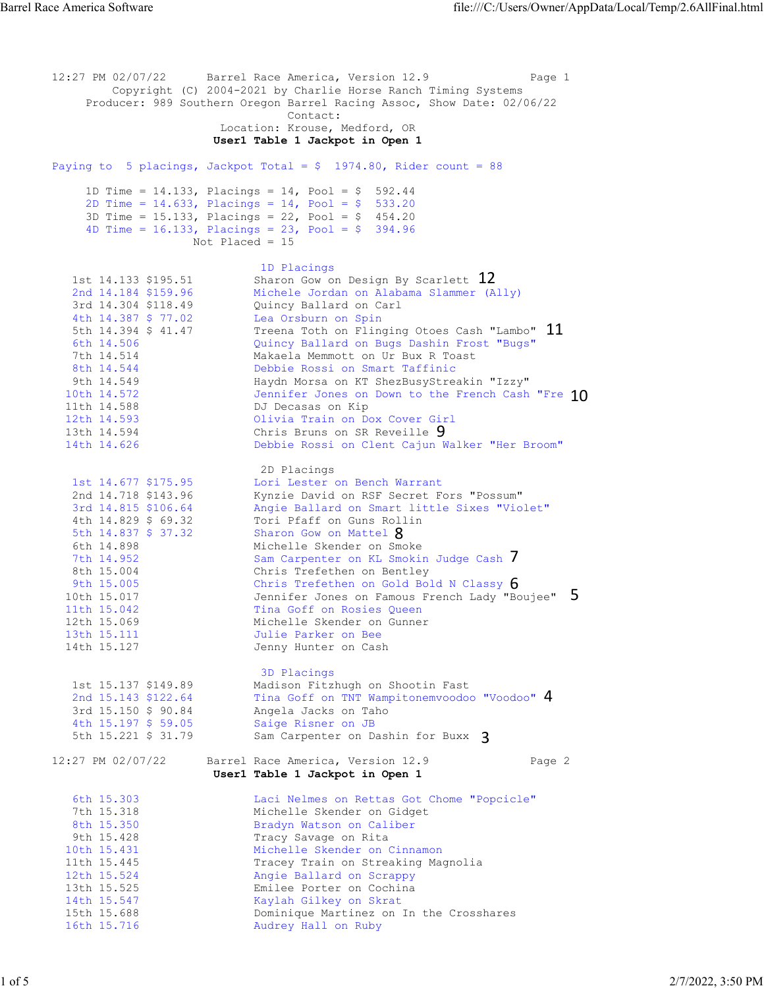12:27 PM 02/07/22 Barrel Race America, Version 12.9 Page 1 Copyright (C) 2004-2021 by Charlie Horse Ranch Timing Systems Producer: 989 Southern Oregon Barrel Racing Assoc, Show Date: 02/06/22 contact:  $\blacksquare$  Location: Krouse, Medford, OR User1 Table 1 Jackpot in Open 1 Paying to 5 placings, Jackpot Total =  $$ 1974.80$ , Rider count = 88 1D Time = 14.133, Placings = 14, Pool = \$ 592.44 2D Time = 14.633, Placings = 14, Pool = \$ 533.20 3D Time = 15.133, Placings = 22, Pool = \$ 454.20 4D Time = 16.133, Placings = 23, Pool = \$ 394.96 Not Placed = 15 example 1D Placings and the contract of the contract of the contract of the contract of the contract of the contract of the contract of the contract of the contract of the contract of the contract of the contract of the co  $1$ st  $14.133$  \$195.51 Sharon Gow on Design By Scarlett  $12$  2nd 14.184 \$159.96 Michele Jordan on Alabama Slammer (Ally) 3rd 14.304 \$118.49 Quincy Ballard on Carl 4th 14.387 \$ 77.02 Lea Orsburn on Spin 5th 14.394 \$ 41.47  $\hbox{Preena}$  Toth on Flinging Otoes Cash "Lambo"  $\hbox{\bf 11}$  6th 14.506 Quincy Ballard on Bugs Dashin Frost "Bugs" 7th 14.514 Makaela Memmott on Ur Bux R Toast 8th 14.544 Debbie Rossi on Smart Taffinic 9th 14.549 Haydn Morsa on KT ShezBusyStreakin "Izzy" 10th 14.572 Jennifer Jones on Down to the French Cash "Fre  $10$  11th 14.588 DJ Decasas on Kip 12th 14.593 Olivia Train on Dox Cover Girl 13th 14.594 Chris Bruns on SR Reveille 9 14th 14.626 Debbie Rossi on Clent Cajun Walker "Her Broom" 2D Placings 1st 14.677 \$175.95 Lori Lester on Bench Warrant 2nd 14.718 \$143.96 Kynzie David on RSF Secret Fors "Possum" 3rd 14.815 \$106.64 Angie Ballard on Smart little Sixes "Violet" 4th 14.829 \$ 69.32 Tori Pfaff on Guns Rollin 5th 14.837 \$ 37.32 Sharon Gow on Mattel  $8$ 5th 14.837 \$ 37.32 Sharon Gow on Mattel  $\frac{8}{1}$  (14.898 Michelle Skender on Smoke 7th 14.952 Sam Carpenter on KL Smokin Judge Cash  $\sqrt{ }$  8th 15.004 Chris Trefethen on Bentley 9th 15.005 Chris Trefethen on Gold Bold N Classy  $\rm 6$   $\,$ 10th 15.017 Jennifer Jones on Famous French Lady "Boujee" **b**  11th 15.042 Tina Goff on Rosies Queen 12th 15.069 Michelle Skender on Gunner 13th 15.111 Julie Parker on Bee 14th 15.127 Jenny Hunter on Cash 3D Placings<br>1st 15.137 \$149.89 Madison Fitz 1st 15.137 \$149.89 Madison Fitzhugh on Shootin Fast<br>2nd 15.143 \$122.64 Tina Goff on TNT Wampitonemvoodoo  $2$ nd 15.143 \$122.64  $\hbox{I}$  Tina Goff on TNT Wampitonemvoodoo "Voodoo"  $\hbox{4}$  3rd 15.150 \$ 90.84 Angela Jacks on Taho 4th 15.197 \$ 59.05 Saige Risner on JB 5th 15.221 \$ 31.79 Sam Carpenter on Dashin for Buxx 3 12:27 PM 02/07/22 Barrel Race America, Version 12.9 Page 2 User1 Table 1 Jackpot in Open 1 6th 15.303 Laci Nelmes on Rettas Got Chome "Popcicle" 7th 15.318 Michelle Skender on Gidget 8th 15.350 Bradyn Watson on Caliber and the State of the Bradyn Watson on Caliber 9th 15.428 Tracy Savage on Rita 10th 15.431 Michelle Skender on Cinnamon 11th 15.445 Tracey Train on Streaking Magnolia 12th 15.524 Angie Ballard on Scrappy 13th 15.525 Emilee Porter on Cochina 14th 15.547 Kaylah Gilkey on Skrat 15th 15.688 Dominique Martinez on In the Crosshares 16th 15.716 Audrey Hall on Ruby Barrel Race America Software file:///C:/Users/Owner/AppData/Local/Temp/2.6AllFinal.html<br>12:27 PM 02/07/22 Barrel Race America, Version 12.9 Page 1<br>Converight (C) 2004-2021 by Charlie Horse Banch Timing Systems 5th 15.221 \$ 31.79 Sam Carpenter on Dashin for Buxx **3**<br>12:27 PM 02/07/22 Barrel Race America, Version 12:9<br>**USer 1 Table 1 Jackpot in Open 1**<br>6th 15.303 Incilled Nackpot in Open 1<br>7th 15.318 Michelle Skender on Gidget<br>8th 4 5 6 7 12<br>
(Ally)<br>
h "Lambo" 11<br>
st "Bugs"<br>
n "Izzy"<br>
nch Cash "Fre 10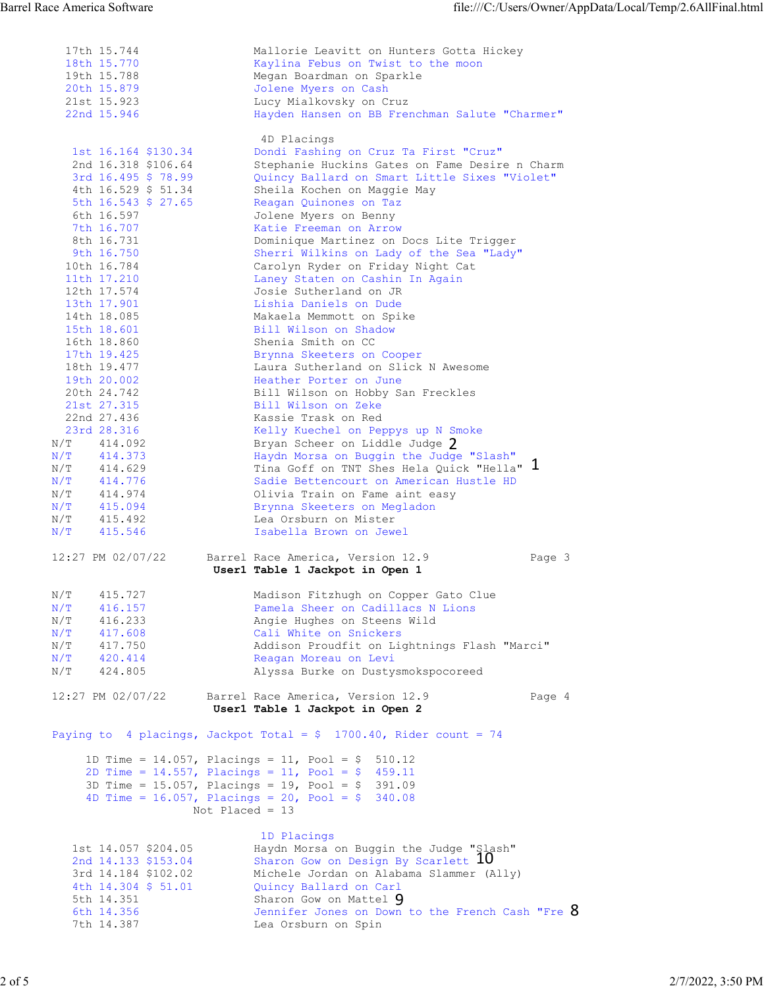| <b>Barrel Race America Software</b><br>file:///C:/Users/Owner/AppData/Local/Temp/2.6AllFinal.html<br>17th 15.744<br>Mallorie Leavitt on Hunters Gotta Hickey<br>18th 15.770<br>Kaylina Febus on Twist to the moon<br>Megan Boardman on Sparkle<br>19th 15.788<br>Jolene Myers on Cash<br>20th 15.879<br>21st 15.923<br>Lucy Mialkovsky on Cruz<br>22nd 15.946<br>Hayden Hansen on BB Frenchman Salute "Charmer"<br>4D Placings<br>1st 16.164 \$130.34<br>Dondi Fashing on Cruz Ta First "Cruz"<br>2nd 16.318 \$106.64<br>Stephanie Huckins Gates on Fame Desire n Charm<br>3rd 16.495 \$ 78.99<br>Quincy Ballard on Smart Little Sixes "Violet"<br>4th 16.529 \$ 51.34<br>Sheila Kochen on Maggie May<br>5th $16.543$ \$ 27.65<br>Reagan Quinones on Taz<br>6th 16.597<br>Jolene Myers on Benny<br>7th 16.707<br>Katie Freeman on Arrow<br>Dominique Martinez on Docs Lite Trigger<br>8th 16.731<br>9th 16.750<br>Sherri Wilkins on Lady of the Sea "Lady"<br>10th 16.784<br>Carolyn Ryder on Friday Night Cat<br>11th 17.210<br>Laney Staten on Cashin In Again<br>12th 17.574<br>Josie Sutherland on JR<br>13th 17.901<br>Lishia Daniels on Dude<br>14th 18.085<br>Makaela Memmott on Spike<br>15th 18.601<br>Bill Wilson on Shadow<br>16th 18.860<br>Shenia Smith on CC<br>17th 19.425<br>Brynna Skeeters on Cooper<br>18th 19.477<br>Laura Sutherland on Slick N Awesome<br>19th 20.002<br>Heather Porter on June<br>20th 24.742<br>Bill Wilson on Hobby San Freckles<br>21st 27.315<br>Bill Wilson on Zeke<br>22nd 27.436<br>Kassie Trask on Red<br>23rd 28.316<br>Kelly Kuechel on Peppys up N Smoke<br>$\rm N/T$<br>414.092<br>Bryan Scheer on Liddle Judge 2<br>Haydn Morsa on Buggin the Judge "Slash"<br>$\rm N/T$<br>414.373<br>Tina Goff on TNT Shes Hela Quick "Hella" 1<br>414.629<br>$\rm N/T$<br>414.776<br>Sadie Bettencourt on American Hustle HD<br>N/T<br>$\rm N/T$<br>414.974<br>Olivia Train on Fame aint easy<br>415.094<br>$\rm N/T$<br>Brynna Skeeters on Megladon<br>415.492<br>$\rm N/T$<br>Lea Orsburn on Mister<br>$\rm N/T$<br>415.546<br>Isabella Brown on Jewel<br>12:27 PM 02/07/22<br>Barrel Race America, Version 12.9<br>Page 3<br>User1 Table 1 Jackpot in Open 1<br>415.727<br>$\rm N/T$<br>Madison Fitzhugh on Copper Gato Clue<br>416.157<br>Pamela Sheer on Cadillacs N Lions<br>N/T<br>$\rm N/T$<br>416.233<br>Angie Hughes on Steens Wild<br>417.608<br>N/T<br>Cali White on Snickers |
|----------------------------------------------------------------------------------------------------------------------------------------------------------------------------------------------------------------------------------------------------------------------------------------------------------------------------------------------------------------------------------------------------------------------------------------------------------------------------------------------------------------------------------------------------------------------------------------------------------------------------------------------------------------------------------------------------------------------------------------------------------------------------------------------------------------------------------------------------------------------------------------------------------------------------------------------------------------------------------------------------------------------------------------------------------------------------------------------------------------------------------------------------------------------------------------------------------------------------------------------------------------------------------------------------------------------------------------------------------------------------------------------------------------------------------------------------------------------------------------------------------------------------------------------------------------------------------------------------------------------------------------------------------------------------------------------------------------------------------------------------------------------------------------------------------------------------------------------------------------------------------------------------------------------------------------------------------------------------------------------------------------------------------------------------------------------------------------------------------------------------------------------------------------------------------------------------------------------------------------------------------------------------------------------------------------------------------------------------------------------------------------------------------------------------------|
|                                                                                                                                                                                                                                                                                                                                                                                                                                                                                                                                                                                                                                                                                                                                                                                                                                                                                                                                                                                                                                                                                                                                                                                                                                                                                                                                                                                                                                                                                                                                                                                                                                                                                                                                                                                                                                                                                                                                                                                                                                                                                                                                                                                                                                                                                                                                                                                                                                  |
|                                                                                                                                                                                                                                                                                                                                                                                                                                                                                                                                                                                                                                                                                                                                                                                                                                                                                                                                                                                                                                                                                                                                                                                                                                                                                                                                                                                                                                                                                                                                                                                                                                                                                                                                                                                                                                                                                                                                                                                                                                                                                                                                                                                                                                                                                                                                                                                                                                  |
| $\rm N/T$<br>417.750<br>Addison Proudfit on Lightnings Flash "Marci"                                                                                                                                                                                                                                                                                                                                                                                                                                                                                                                                                                                                                                                                                                                                                                                                                                                                                                                                                                                                                                                                                                                                                                                                                                                                                                                                                                                                                                                                                                                                                                                                                                                                                                                                                                                                                                                                                                                                                                                                                                                                                                                                                                                                                                                                                                                                                             |
| N/T<br>420.414<br>Reagan Moreau on Levi<br>$\rm N/T$<br>424.805<br>Alyssa Burke on Dustysmokspocoreed<br>12:27 PM 02/07/22<br>Barrel Race America, Version 12.9<br>Page 4                                                                                                                                                                                                                                                                                                                                                                                                                                                                                                                                                                                                                                                                                                                                                                                                                                                                                                                                                                                                                                                                                                                                                                                                                                                                                                                                                                                                                                                                                                                                                                                                                                                                                                                                                                                                                                                                                                                                                                                                                                                                                                                                                                                                                                                        |
| User1 Table 1 Jackpot in Open 2<br>Paying to 4 placings, Jackpot Total = $$ 1700.40$ , Rider count = 74                                                                                                                                                                                                                                                                                                                                                                                                                                                                                                                                                                                                                                                                                                                                                                                                                                                                                                                                                                                                                                                                                                                                                                                                                                                                                                                                                                                                                                                                                                                                                                                                                                                                                                                                                                                                                                                                                                                                                                                                                                                                                                                                                                                                                                                                                                                          |
| 1D Time = $14.057$ , Placings = 11, Pool = \$ 510.12<br>2D Time = $14.557$ , Placings = $11$ , Pool = \$ 459.11<br>3D Time = $15.057$ , Placings = $19$ , Pool = \$ 391.09<br>4D Time = $16.057$ , Placings = $20$ , Pool = \$ 340.08<br>Not Placed = $13$                                                                                                                                                                                                                                                                                                                                                                                                                                                                                                                                                                                                                                                                                                                                                                                                                                                                                                                                                                                                                                                                                                                                                                                                                                                                                                                                                                                                                                                                                                                                                                                                                                                                                                                                                                                                                                                                                                                                                                                                                                                                                                                                                                       |
| 1D Placings<br>Haydn Morsa on Buggin the Judge "Slash"<br>1st 14.057 \$204.05<br>Sharon Gow on Design By Scarlett 10<br>2nd 14.133 \$153.04<br>Michele Jordan on Alabama Slammer (Ally)<br>3rd 14.184 \$102.02<br>4th 14.304 \$ 51.01<br>Quincy Ballard on Carl<br>Sharon Gow on Mattel 9<br>5th 14.351<br>Jennifer Jones on Down to the French Cash "Fre 8<br>6th 14.356<br>Lea Orsburn on Spin<br>7th 14.387                                                                                                                                                                                                                                                                                                                                                                                                                                                                                                                                                                                                                                                                                                                                                                                                                                                                                                                                                                                                                                                                                                                                                                                                                                                                                                                                                                                                                                                                                                                                                                                                                                                                                                                                                                                                                                                                                                                                                                                                                   |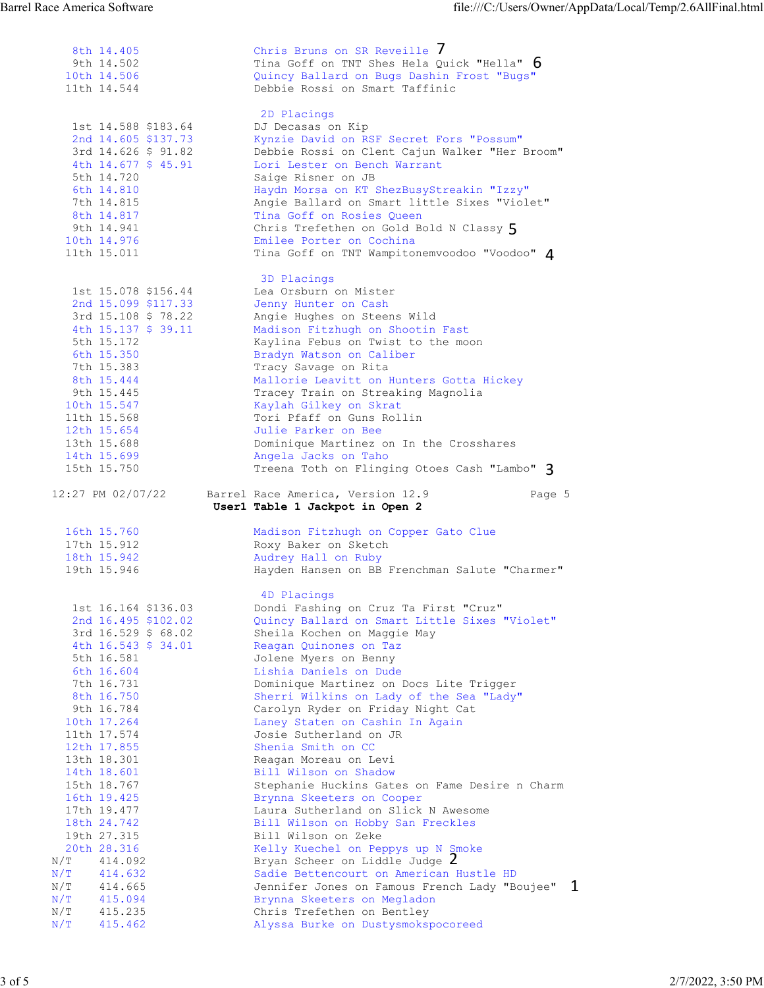| Barrel Race America Software               | file:///C:/Users/Owner/AppData/Local/Temp/2.6AllFinal.html                                                                                                                                                                                              |                                                                                                                                                                                                                                                                                                                                                                                                                                                                                                                                                                                                                                       |
|--------------------------------------------|---------------------------------------------------------------------------------------------------------------------------------------------------------------------------------------------------------------------------------------------------------|---------------------------------------------------------------------------------------------------------------------------------------------------------------------------------------------------------------------------------------------------------------------------------------------------------------------------------------------------------------------------------------------------------------------------------------------------------------------------------------------------------------------------------------------------------------------------------------------------------------------------------------|
| 8th 14.405                                 | Chris Bruns on SR Reveille 7                                                                                                                                                                                                                            |                                                                                                                                                                                                                                                                                                                                                                                                                                                                                                                                                                                                                                       |
| 9th 14.502<br>10th 14.506<br>11th 14.544   | Quincy Ballard on Bugs Dashin Frost "Bugs"<br>Debbie Rossi on Smart Taffinic                                                                                                                                                                            |                                                                                                                                                                                                                                                                                                                                                                                                                                                                                                                                                                                                                                       |
|                                            | 2D Placings                                                                                                                                                                                                                                             |                                                                                                                                                                                                                                                                                                                                                                                                                                                                                                                                                                                                                                       |
| 2nd 14.605 \$137.73<br>3rd 14.626 \$ 91.82 | Kynzie David on RSF Secret Fors "Possum"<br>Debbie Rossi on Clent Cajun Walker "Her Broom"                                                                                                                                                              |                                                                                                                                                                                                                                                                                                                                                                                                                                                                                                                                                                                                                                       |
| 4th $14.677$ \$ 45.91<br>5th 14.720        | Lori Lester on Bench Warrant<br>Saige Risner on JB                                                                                                                                                                                                      |                                                                                                                                                                                                                                                                                                                                                                                                                                                                                                                                                                                                                                       |
| 6th 14.810<br>7th 14.815                   | Haydn Morsa on KT ShezBusyStreakin "Izzy"<br>Angie Ballard on Smart little Sixes "Violet"                                                                                                                                                               |                                                                                                                                                                                                                                                                                                                                                                                                                                                                                                                                                                                                                                       |
| 9th 14.941                                 | Chris Trefethen on Gold Bold N Classy 5                                                                                                                                                                                                                 |                                                                                                                                                                                                                                                                                                                                                                                                                                                                                                                                                                                                                                       |
| 11th 15.011                                | Tina Goff on TNT Wampitonemvoodoo "Voodoo" 4                                                                                                                                                                                                            |                                                                                                                                                                                                                                                                                                                                                                                                                                                                                                                                                                                                                                       |
| 1st 15.078 \$156.44                        | 3D Placings<br>Lea Orsburn on Mister                                                                                                                                                                                                                    |                                                                                                                                                                                                                                                                                                                                                                                                                                                                                                                                                                                                                                       |
| 2nd 15.099 \$117.33<br>3rd 15.108 \$ 78.22 | Jenny Hunter on Cash<br>Angie Hughes on Steens Wild                                                                                                                                                                                                     |                                                                                                                                                                                                                                                                                                                                                                                                                                                                                                                                                                                                                                       |
| 4th 15.137 \$ 39.11<br>5th 15.172          | Kaylina Febus on Twist to the moon                                                                                                                                                                                                                      |                                                                                                                                                                                                                                                                                                                                                                                                                                                                                                                                                                                                                                       |
| 7th 15.383                                 | Tracy Savage on Rita                                                                                                                                                                                                                                    |                                                                                                                                                                                                                                                                                                                                                                                                                                                                                                                                                                                                                                       |
| 9th 15.445                                 | Tracey Train on Streaking Magnolia                                                                                                                                                                                                                      |                                                                                                                                                                                                                                                                                                                                                                                                                                                                                                                                                                                                                                       |
| 11th 15.568                                | Tori Pfaff on Guns Rollin<br>Julie Parker on Bee                                                                                                                                                                                                        |                                                                                                                                                                                                                                                                                                                                                                                                                                                                                                                                                                                                                                       |
| 13th 15.688<br>14th 15.699                 | Dominique Martinez on In the Crosshares<br>Angela Jacks on Taho                                                                                                                                                                                         |                                                                                                                                                                                                                                                                                                                                                                                                                                                                                                                                                                                                                                       |
| 15th 15.750                                |                                                                                                                                                                                                                                                         |                                                                                                                                                                                                                                                                                                                                                                                                                                                                                                                                                                                                                                       |
|                                            |                                                                                                                                                                                                                                                         |                                                                                                                                                                                                                                                                                                                                                                                                                                                                                                                                                                                                                                       |
| 16th 15.760<br>17th 15.912                 | Madison Fitzhugh on Copper Gato Clue<br>Roxy Baker on Sketch                                                                                                                                                                                            |                                                                                                                                                                                                                                                                                                                                                                                                                                                                                                                                                                                                                                       |
| 18th 15.942<br>19th 15.946                 | Audrey Hall on Ruby<br>Hayden Hansen on BB Frenchman Salute "Charmer"                                                                                                                                                                                   |                                                                                                                                                                                                                                                                                                                                                                                                                                                                                                                                                                                                                                       |
|                                            | 4D Placings                                                                                                                                                                                                                                             |                                                                                                                                                                                                                                                                                                                                                                                                                                                                                                                                                                                                                                       |
| 2nd 16.495 \$102.02                        | Quincy Ballard on Smart Little Sixes "Violet"                                                                                                                                                                                                           |                                                                                                                                                                                                                                                                                                                                                                                                                                                                                                                                                                                                                                       |
| 4th $16.543$ \$ 34.01<br>5th 16.581        | Reagan Quinones on Taz<br>Jolene Myers on Benny                                                                                                                                                                                                         |                                                                                                                                                                                                                                                                                                                                                                                                                                                                                                                                                                                                                                       |
| 6th 16.604<br>7th 16.731                   | Lishia Daniels on Dude<br>Dominique Martinez on Docs Lite Trigger                                                                                                                                                                                       |                                                                                                                                                                                                                                                                                                                                                                                                                                                                                                                                                                                                                                       |
| 9th 16.784                                 | Carolyn Ryder on Friday Night Cat                                                                                                                                                                                                                       |                                                                                                                                                                                                                                                                                                                                                                                                                                                                                                                                                                                                                                       |
| 11th 17.574                                | Josie Sutherland on JR                                                                                                                                                                                                                                  |                                                                                                                                                                                                                                                                                                                                                                                                                                                                                                                                                                                                                                       |
| 13th 18.301                                | Reagan Moreau on Levi                                                                                                                                                                                                                                   |                                                                                                                                                                                                                                                                                                                                                                                                                                                                                                                                                                                                                                       |
| 15th 18.767                                | Stephanie Huckins Gates on Fame Desire n Charm                                                                                                                                                                                                          |                                                                                                                                                                                                                                                                                                                                                                                                                                                                                                                                                                                                                                       |
| 17th 19.477<br>18th 24.742                 | Laura Sutherland on Slick N Awesome<br>Bill Wilson on Hobby San Freckles                                                                                                                                                                                |                                                                                                                                                                                                                                                                                                                                                                                                                                                                                                                                                                                                                                       |
| 19th 27.315<br>20th 28.316                 | Bill Wilson on Zeke<br>Kelly Kuechel on Peppys up N Smoke                                                                                                                                                                                               |                                                                                                                                                                                                                                                                                                                                                                                                                                                                                                                                                                                                                                       |
| 414.092<br>$\rm N/T$<br>N/T<br>414.632     | Bryan Scheer on Liddle Judge 2<br>Sadie Bettencourt on American Hustle HD                                                                                                                                                                               |                                                                                                                                                                                                                                                                                                                                                                                                                                                                                                                                                                                                                                       |
| 414.665<br>$\rm N/T$<br>415.094<br>N/T     | Jennifer Jones on Famous French Lady "Boujee" 1<br>Brynna Skeeters on Megladon                                                                                                                                                                          |                                                                                                                                                                                                                                                                                                                                                                                                                                                                                                                                                                                                                                       |
| $\rm N/T$<br>415.235<br>N/T<br>415.462     | Chris Trefethen on Bentley<br>Alyssa Burke on Dustysmokspocoreed                                                                                                                                                                                        |                                                                                                                                                                                                                                                                                                                                                                                                                                                                                                                                                                                                                                       |
|                                            | 1st 14.588 \$183.64<br>8th 14.817<br>10th 14.976<br>6th 15.350<br>8th 15.444<br>10th 15.547<br>12th 15.654<br>12:27 PM 02/07/22<br>1st 16.164 \$136.03<br>3rd 16.529 \$ 68.02<br>8th 16.750<br>10th 17.264<br>12th 17.855<br>14th 18.601<br>16th 19.425 | Tina Goff on TNT Shes Hela Quick "Hella" $6$<br>DJ Decasas on Kip<br>Tina Goff on Rosies Queen<br>Emilee Porter on Cochina<br>Madison Fitzhugh on Shootin Fast<br>Bradyn Watson on Caliber<br>Mallorie Leavitt on Hunters Gotta Hickey<br>Kaylah Gilkey on Skrat<br>Treena Toth on Flinging Otoes Cash "Lambo" 3<br>Barrel Race America, Version 12.9<br>Page 5<br>User1 Table 1 Jackpot in Open 2<br>Dondi Fashing on Cruz Ta First "Cruz"<br>Sheila Kochen on Maggie May<br>Sherri Wilkins on Lady of the Sea "Lady"<br>Laney Staten on Cashin In Again<br>Shenia Smith on CC<br>Bill Wilson on Shadow<br>Brynna Skeeters on Cooper |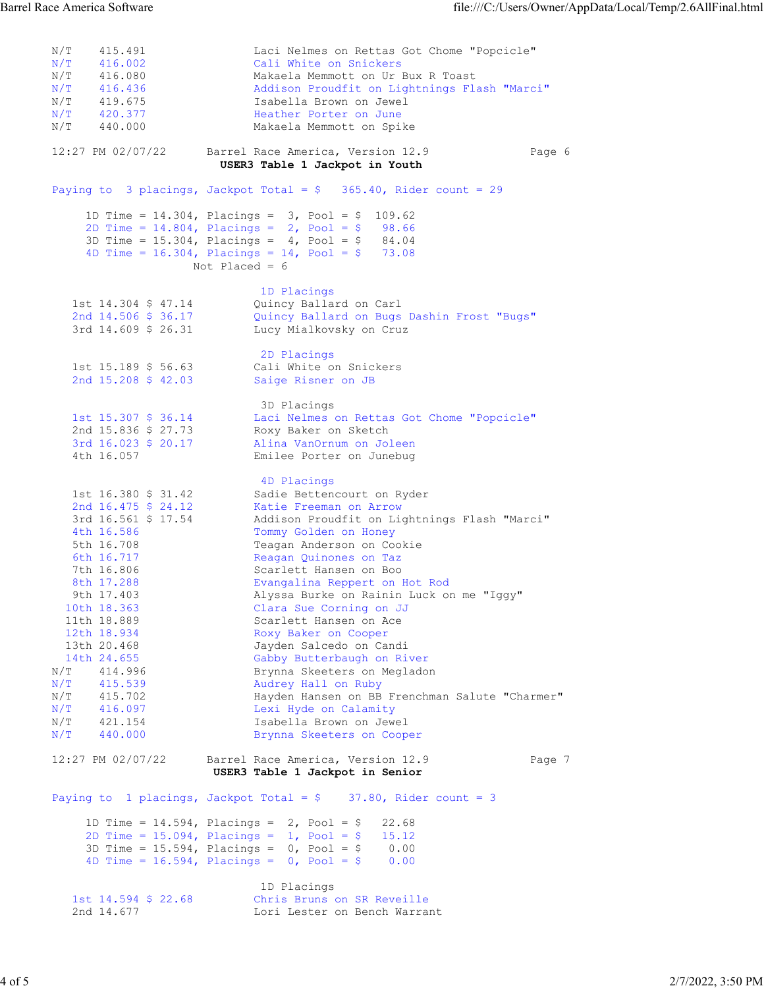N/T 415.491 Laci Nelmes on Rettas Got Chome "Popcicle" N/T 416.002 Cali White on Snickers N/T 416.080 Makaela Memmott on Ur Bux R Toast N/T 416.436 Addison Proudfit on Lightnings Flash "Marci" N/T 419.675 Isabella Brown on Jewel N/T 420.377 Heather Porter on June N/T 440.000 Makaela Memmott on Spike 12:27 PM 02/07/22 Barrel Race America, Version 12.9 Page 6 USER3 Table 1 Jackpot in Youth Paying to 3 placings, Jackpot Total = \$ 365.40, Rider count = 29 1D Time = 14.304, Placings = 3, Pool = \$ 109.62 2D Time =  $14.804$ , Placings =  $2$ , Pool = \$ 98.66 3D Time =  $15.304$ , Placings =  $4$ , Pool = \$ 84.04 4D Time = 16.304, Placings = 14, Pool =  $$73.08$  Not Placed = 6 1D Placings and the contract of the contract of the contract of the contract of the contract of the contract of the contract of the contract of the contract of the contract of the contract of the contract of the contract o 1st 14.304 \$ 47.14 Quincy Ballard on Carl 2nd 14.506 \$ 36.17 Quincy Ballard on Bugs Dashin Frost "Bugs" 3rd 14.609 \$ 26.31 Lucy Mialkovsky on Cruz 2D Placings<br>1st 15.189 \$ 56.63 Cali White or 1st 15.189 \$ 56.63 Cali White on Snickers 2nd 15.208 \$ 42.03 Saige Risner on JB 3D Placings 1st 15.307 \$ 36.14 Laci Nelmes on Rettas Got Chome "Popcicle" 2nd 15.836 \$ 27.73 Roxy Baker on Sketch 3rd 16.023 \$ 20.17 Alina VanOrnum on Joleen 4th 16.057 Emilee Porter on Junebug 4D Placings 1st 16.380 \$ 31.42 Sadie Bettencourt on Ryder 2nd 16.475 \$ 24.12 Katie Freeman on Arrow 3rd 16.561 \$ 17.54 Addison Proudfit on Lightnings Flash "Marci" 4th 16.586 Tommy Golden on Honey 5th 16.708 Teagan Anderson on Cookie 6th 16.717 Reagan Quinones on Taz 7th 16.806 Scarlett Hansen on Boo 8th 17.288 Evangalina Reppert on Hot Rod 9th 17.403 Alyssa Burke on Rainin Luck on me "Iggy" 10th 18.363 Clara Sue Corning on JJ 11th 18.889 Scarlett Hansen on Ace 12th 18.934 Roxy Baker on Cooper 13th 20.468 Jayden Salcedo on Candi 14th 24.655 Gabby Butterbaugh on River N/T 414.996 Brynna Skeeters on Megladon N/T 415.539 Audrey Hall on Ruby N/T 415.702 Hayden Hansen on BB Frenchman Salute "Charmer" N/T 416.097 Lexi Hyde on Calamity N/T 421.154 Isabella Brown on Jewel N/T 440.000 Brynna Skeeters on Cooper 12:27 PM 02/07/22 Barrel Race America, Version 12.9 Page 7 USER3 Table 1 Jackpot in Senior Paying to 1 placings, Jackpot Total =  $$37.80$ , Rider count = 3 1D Time = 14.594, Placings = 2, Pool = \$ 22.68 2D Time = 15.094, Placings = 1, Pool = \$ 15.12 3D Time = 15.594, Placings = 0, Pool = \$ 0.00 4D Time = 16.594, Placings = 0, Pool = \$ 0.00 1D Placings<br>1st 14.594 \$ 22.68 Chris Bruns Chris Bruns on SR Reveille 2nd 14.677 Lori Lester on Bench Warrant Barrel Race America Software file:///C:/Users/Owner/AppData/Local/Temp/2.6AllFinal.html<br>
N/T 415.491 Laci Nelmes on Rettas Got Chome "Popcicle"<br>
N/T 416.080 Makaela Memmot on Ur Bux R Toast<br>
N/T 416.080 Makaela Memmot on U